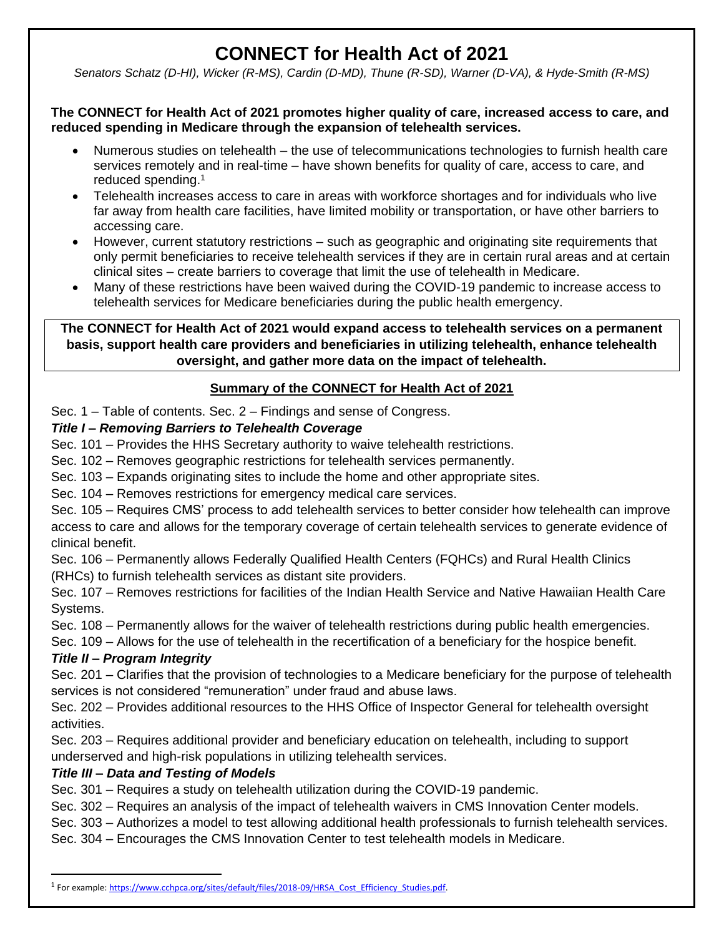# **CONNECT for Health Act of 2021**

*Senators Schatz (D-HI), Wicker (R-MS), Cardin (D-MD), Thune (R-SD), Warner (D-VA), & Hyde-Smith (R-MS)*

#### **The CONNECT for Health Act of 2021 promotes higher quality of care, increased access to care, and reduced spending in Medicare through the expansion of telehealth services.**

- Numerous studies on telehealth the use of telecommunications technologies to furnish health care services remotely and in real-time – have shown benefits for quality of care, access to care, and reduced spending.<sup>1</sup>
- Telehealth increases access to care in areas with workforce shortages and for individuals who live far away from health care facilities, have limited mobility or transportation, or have other barriers to accessing care.
- However, current statutory restrictions such as geographic and originating site requirements that only permit beneficiaries to receive telehealth services if they are in certain rural areas and at certain clinical sites – create barriers to coverage that limit the use of telehealth in Medicare.
- Many of these restrictions have been waived during the COVID-19 pandemic to increase access to telehealth services for Medicare beneficiaries during the public health emergency.

### **The CONNECT for Health Act of 2021 would expand access to telehealth services on a permanent basis, support health care providers and beneficiaries in utilizing telehealth, enhance telehealth oversight, and gather more data on the impact of telehealth.**

# **Summary of the CONNECT for Health Act of 2021**

Sec. 1 – Table of contents. Sec. 2 – Findings and sense of Congress.

### *Title I – Removing Barriers to Telehealth Coverage*

- Sec. 101 Provides the HHS Secretary authority to waive telehealth restrictions.
- Sec. 102 Removes geographic restrictions for telehealth services permanently.
- Sec. 103 Expands originating sites to include the home and other appropriate sites.
- Sec. 104 Removes restrictions for emergency medical care services.

Sec. 105 – Requires CMS' process to add telehealth services to better consider how telehealth can improve access to care and allows for the temporary coverage of certain telehealth services to generate evidence of clinical benefit.

Sec. 106 – Permanently allows Federally Qualified Health Centers (FQHCs) and Rural Health Clinics (RHCs) to furnish telehealth services as distant site providers.

Sec. 107 – Removes restrictions for facilities of the Indian Health Service and Native Hawaiian Health Care Systems.

Sec. 108 – Permanently allows for the waiver of telehealth restrictions during public health emergencies.

Sec. 109 – Allows for the use of telehealth in the recertification of a beneficiary for the hospice benefit.

# *Title II – Program Integrity*

 $\overline{\phantom{a}}$ 

Sec. 201 – Clarifies that the provision of technologies to a Medicare beneficiary for the purpose of telehealth services is not considered "remuneration" under fraud and abuse laws.

Sec. 202 – Provides additional resources to the HHS Office of Inspector General for telehealth oversight activities.

Sec. 203 – Requires additional provider and beneficiary education on telehealth, including to support underserved and high-risk populations in utilizing telehealth services.

# *Title III – Data and Testing of Models*

Sec. 301 – Requires a study on telehealth utilization during the COVID-19 pandemic.

Sec. 302 – Requires an analysis of the impact of telehealth waivers in CMS Innovation Center models.

- Sec. 303 Authorizes a model to test allowing additional health professionals to furnish telehealth services.
- Sec. 304 Encourages the CMS Innovation Center to test telehealth models in Medicare.

<sup>&</sup>lt;sup>1</sup> For example[: https://www.cchpca.org/sites/default/files/2018-09/HRSA\\_Cost\\_Efficiency\\_Studies.pdf.](https://www.cchpca.org/sites/default/files/2018-09/HRSA_Cost_Efficiency_Studies.pdf)